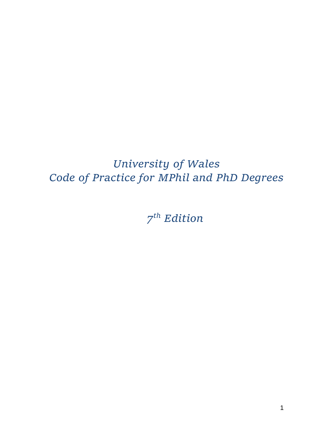# *University of Wales Code of Practice for MPhil and PhD Degrees*

*7 th Edition*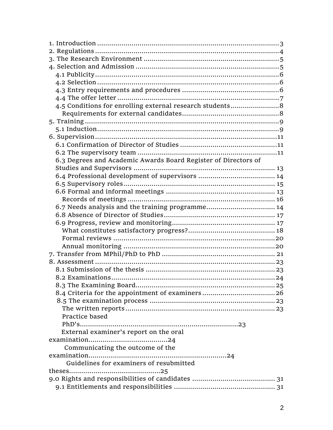| 4.5 Conditions for enrolling external research students8       |  |
|----------------------------------------------------------------|--|
|                                                                |  |
|                                                                |  |
|                                                                |  |
|                                                                |  |
|                                                                |  |
|                                                                |  |
| 6.3 Degrees and Academic Awards Board Register of Directors of |  |
|                                                                |  |
|                                                                |  |
|                                                                |  |
|                                                                |  |
|                                                                |  |
| 6.7 Needs analysis and the training programme 14               |  |
|                                                                |  |
|                                                                |  |
|                                                                |  |
|                                                                |  |
|                                                                |  |
|                                                                |  |
|                                                                |  |
|                                                                |  |
|                                                                |  |
|                                                                |  |
|                                                                |  |
|                                                                |  |
|                                                                |  |
| Practice based                                                 |  |
|                                                                |  |
| External examiner's report on the oral                         |  |
|                                                                |  |
| Communicating the outcome of the                               |  |
|                                                                |  |
| Guidelines for examiners of resubmitted                        |  |
|                                                                |  |
|                                                                |  |
|                                                                |  |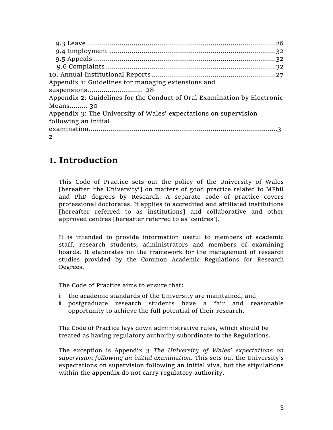| Appendix 1: Guidelines for managing extensions and                       |  |
|--------------------------------------------------------------------------|--|
|                                                                          |  |
| Appendix 2: Guidelines for the Conduct of Oral Examination by Electronic |  |
| Means 30                                                                 |  |
| Appendix 3: The University of Wales' expectations on supervision         |  |
| following an initial                                                     |  |
|                                                                          |  |
| $\mathbf{2}$                                                             |  |

## **1. Introduction**

This Code of Practice sets out the policy of the University of Wales [hereafter 'the University'] on matters of good practice related to MPhil and PhD degrees by Research. A separate code of practice covers professional doctorates. It applies to accredited and affiliated institutions [hereafter referred to as institutions] and collaborative and other approved centres [hereafter referred to as 'centres'].

It is intended to provide information useful to members of academic staff, research students, administrators and members of examining boards. It elaborates on the framework for the management of research studies provided by the Common Academic Regulations for Research Degrees.

The Code of Practice aims to ensure that:

- i. the academic standards of the University are maintained, and
- ii. postgraduate research students have a fair and reasonable opportunity to achieve the full potential of their research.

The Code of Practice lays down administrative rules, which should be treated as having regulatory authority subordinate to the Regulations.

The exception is Appendix 3 *The University of Wales' expectations on supervision following an initial examination***.** This sets out the University's expectations on supervision following an initial viva, but the stipulations within the appendix do not carry regulatory authority.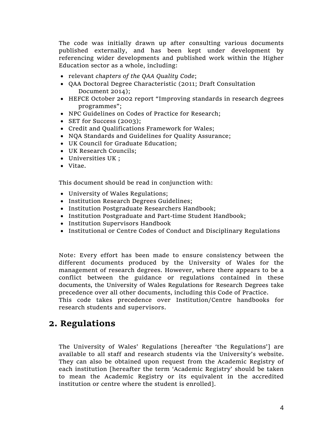The code was initially drawn up after consulting various documents published externally, and has been kept under development by referencing wider developments and published work within the Higher Education sector as a whole, including:

- relevant *chapters of the QAA Quality Code*;
- QAA Doctoral Degree Characteristic (2011; Draft Consultation Document 2014);
- HEFCE October 2002 report "Improving standards in research degrees programmes";
- NPC Guidelines on Codes of Practice for Research;
- SET for Success (2003);
- Credit and Qualifications Framework for Wales;
- NQA Standards and Guidelines for Quality Assurance;
- UK Council for Graduate Education;
- UK Research Councils;
- Universities UK ;
- Vitae.

This document should be read in conjunction with:

- University of Wales Regulations;
- Institution Research Degrees Guidelines;
- Institution Postgraduate Researchers Handbook;
- Institution Postgraduate and Part-time Student Handbook;
- Institution Supervisors Handbook
- Institutional or Centre Codes of Conduct and Disciplinary Regulations

Note: Every effort has been made to ensure consistency between the different documents produced by the University of Wales for the management of research degrees. However, where there appears to be a conflict between the guidance or regulations contained in these documents, the University of Wales Regulations for Research Degrees take precedence over all other documents, including this Code of Practice.

This code takes precedence over Institution/Centre handbooks for research students and supervisors.

### **2. Regulations**

The University of Wales' Regulations [hereafter 'the Regulations'] are available to all staff and research students via the University's website. They can also be obtained upon request from the Academic Registry of each institution [hereafter the term 'Academic Registry' should be taken to mean the Academic Registry or its equivalent in the accredited institution or centre where the student is enrolled].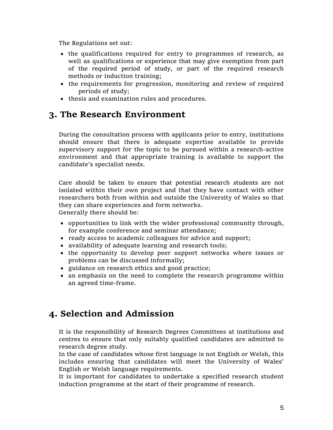The Regulations set out:

- the qualifications required for entry to programmes of research, as well as qualifications or experience that may give exemption from part of the required period of study, or part of the required research methods or induction training;
- the requirements for progression, monitoring and review of required periods of study;
- thesis and examination rules and procedures.

## **3. The Research Environment**

During the consultation process with applicants prior to entry, institutions should ensure that there is adequate expertise available to provide supervisory support for the topic to be pursued within a research-active environment and that appropriate training is available to support the candidate's specialist needs.

Care should be taken to ensure that potential research students are not isolated within their own project and that they have contact with other researchers both from within and outside the University of Wales so that they can share experiences and form networks. Generally there should be:

- $\bullet$  opportunities to link with the wider professional community through, for example conference and seminar attendance;
- ready access to academic colleagues for advice and support;
- availability of adequate learning and research tools;
- the opportunity to develop peer support networks where issues or problems can be discussed informally;
- guidance on research ethics and good practice;
- an emphasis on the need to complete the research programme within an agreed time-frame.

## **4. Selection and Admission**

It is the responsibility of Research Degrees Committees at institutions and centres to ensure that only suitably qualified candidates are admitted to research degree study.

In the case of candidates whose first language is not English or Welsh, this includes ensuring that candidates will meet the University of Wales' English or Welsh language requirements.

It is important for candidates to undertake a specified research student induction programme at the start of their programme of research.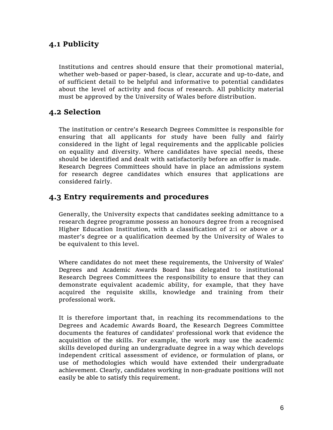### **4.1 Publicity**

Institutions and centres should ensure that their promotional material, whether web-based or paper-based, is clear, accurate and up-to-date, and of sufficient detail to be helpful and informative to potential candidates about the level of activity and focus of research. All publicity material must be approved by the University of Wales before distribution.

### **4.2 Selection**

The institution or centre's Research Degrees Committee is responsible for ensuring that all applicants for study have been fully and fairly considered in the light of legal requirements and the applicable policies on equality and diversity. Where candidates have special needs, these should be identified and dealt with satisfactorily before an offer is made. Research Degrees Committees should have in place an admissions system for research degree candidates which ensures that applications are considered fairly.

### **4.3 Entry requirements and procedures**

Generally, the University expects that candidates seeking admittance to a research degree programme possess an honours degree from a recognised Higher Education Institution, with a classification of 2:i or above *or* a master's degree or a qualification deemed by the University of Wales to be equivalent to this level.

Where candidates do not meet these requirements, the University of Wales' Degrees and Academic Awards Board has delegated to institutional Research Degrees Committees the responsibility to ensure that they can demonstrate equivalent academic ability, for example, that they have acquired the requisite skills, knowledge and training from their professional work.

It is therefore important that, in reaching its recommendations to the Degrees and Academic Awards Board, the Research Degrees Committee documents the features of candidates' professional work that evidence the acquisition of the skills. For example, the work may use the academic skills developed during an undergraduate degree in a way which develops independent critical assessment of evidence, or formulation of plans, or use of methodologies which would have extended their undergraduate achievement. Clearly, candidates working in non-graduate positions will not easily be able to satisfy this requirement.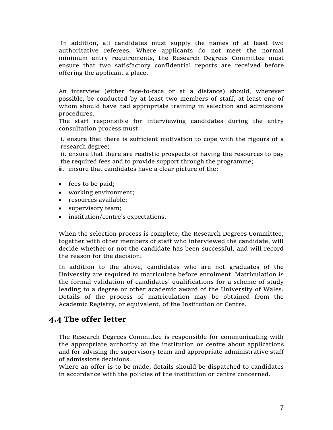In addition, all candidates must supply the names of at least two authoritative referees. Where applicants do not meet the normal minimum entry requirements, the Research Degrees Committee must ensure that two satisfactory confidential reports are received before offering the applicant a place.

An interview (either face-to-face or at a distance) should, wherever possible, be conducted by at least two members of staff, at least one of whom should have had appropriate training in selection and admissions procedures.

The staff responsible for interviewing candidates during the entry consultation process must:

i. ensure that there is sufficient motivation to cope with the rigours of a research degree;

ii. ensure that there are realistic prospects of having the resources to pay the required fees and to provide support through the programme;

iii. ensure that candidates have a clear picture of the:

- fees to be paid;
- working environment;
- resources available;
- supervisory team;
- institution/centre's expectations.

When the selection process is complete, the Research Degrees Committee, together with other members of staff who interviewed the candidate, will decide whether or not the candidate has been successful, and will record the reason for the decision.

In addition to the above, candidates who are not graduates of the University are required to matriculate before enrolment. Matriculation is the formal validation of candidates' qualifications for a scheme of study leading to a degree or other academic award of the University of Wales. Details of the process of matriculation may be obtained from the Academic Registry, or equivalent, of the Institution or Centre.

### **4.4 The offer letter**

The Research Degrees Committee is responsible for communicating with the appropriate authority at the institution or centre about applications and for advising the supervisory team and appropriate administrative staff of admissions decisions.

Where an offer is to be made, details should be dispatched to candidates in accordance with the policies of the institution or centre concerned.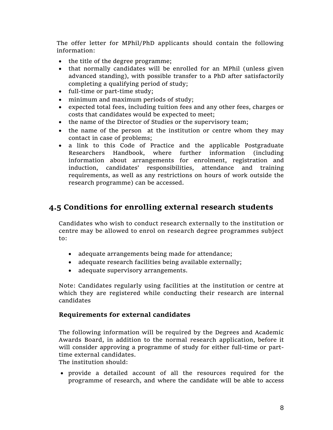The offer letter for MPhil/PhD applicants should contain the following information:

- the title of the degree programme;
- that normally candidates will be enrolled for an MPhil (unless given advanced standing), with possible transfer to a PhD after satisfactorily completing a qualifying period of study;
- full-time or part-time study;
- minimum and maximum periods of study;
- expected total fees, including tuition fees and any other fees, charges or costs that candidates would be expected to meet;
- the name of the Director of Studies or the supervisory team;
- the name of the person at the institution or centre whom they may contact in case of problems;
- a link to this Code of Practice and the applicable Postgraduate Researchers Handbook, where further information (including information about arrangements for enrolment, registration and induction, candidates' responsibilities, attendance and training requirements, as well as any restrictions on hours of work outside the research programme) can be accessed.

### **4.5 Conditions for enrolling external research students**

Candidates who wish to conduct research externally to the institution or centre may be allowed to enrol on research degree programmes subject to:

- adequate arrangements being made for attendance;
- adequate research facilities being available externally;
- adequate supervisory arrangements.

Note: Candidates regularly using facilities at the institution or centre at which they are registered while conducting their research are internal candidates

#### **Requirements for external candidates**

The following information will be required by the Degrees and Academic Awards Board, in addition to the normal research application, before it will consider approving a programme of study for either full-time or parttime external candidates.

The institution should:

 provide a detailed account of all the resources required for the programme of research, and where the candidate will be able to access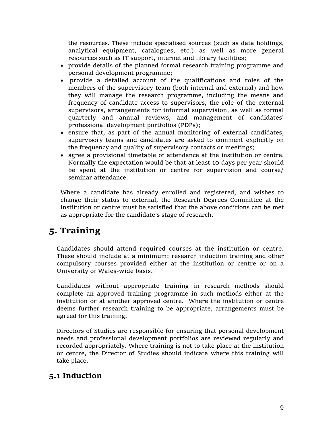the resources. These include specialised sources (such as data holdings, analytical equipment, catalogues, etc.) as well as more general resources such as IT support, internet and library facilities;

- provide details of the planned formal research training programme and personal development programme;
- provide a detailed account of the qualifications and roles of the members of the supervisory team (both internal and external) and how they will manage the research programme, including the means and frequency of candidate access to supervisors, the role of the external supervisors, arrangements for informal supervision, as well as formal quarterly and annual reviews, and management of candidates' professional development portfolios (PDPs);
- ensure that, as part of the annual monitoring of external candidates, supervisory teams and candidates are asked to comment explicitly on the frequency and quality of supervisory contacts or meetings;
- agree a provisional timetable of attendance at the institution or centre. Normally the expectation would be that at least 10 days per year should be spent at the institution or centre for supervision and course/ seminar attendance.

Where a candidate has already enrolled and registered, and wishes to change their status to external, the Research Degrees Committee at the institution or centre must be satisfied that the above conditions can be met as appropriate for the candidate's stage of research.

## **5. Training**

Candidates should attend required courses at the institution or centre. These should include at a minimum: research induction training and other compulsory courses provided either at the institution or centre or on a University of Wales-wide basis.

Candidates without appropriate training in research methods should complete an approved training programme in such methods either at the institution or at another approved centre. Where the institution or centre deems further research training to be appropriate, arrangements must be agreed for this training.

Directors of Studies are responsible for ensuring that personal development needs and professional development portfolios are reviewed regularly and recorded appropriately. Where training is not to take place at the institution or centre, the Director of Studies should indicate where this training will take place.

### **5.1 Induction**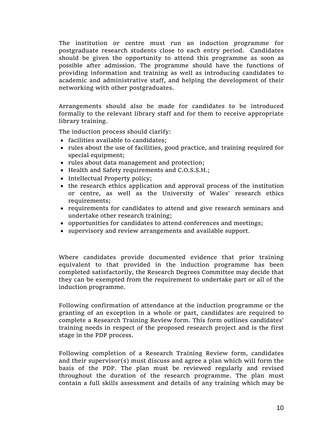The institution or centre must run an induction programme for postgraduate research students close to each entry period. Candidates should be given the opportunity to attend this programme as soon as possible after admission. The programme should have the functions of providing information and training as well as introducing candidates to academic and administrative staff, and helping the development of their networking with other postgraduates.

Arrangements should also be made for candidates to be introduced formally to the relevant library staff and for them to receive appropriate library training.

The induction process should clarify:

- facilities available to candidates;
- rules about the use of facilities, good practice, and training required for special equipment;
- rules about data management and protection;
- Health and Safety requirements and C.O.S.S.H.;
- Intellectual Property policy;
- the research ethics application and approval process of the institution or centre, as well as the University of Wales' research ethics requirements;
- requirements for candidates to attend and give research seminars and undertake other research training;
- opportunities for candidates to attend conferences and meetings;
- supervisory and review arrangements and available support.

Where candidates provide documented evidence that prior training equivalent to that provided in the induction programme has been completed satisfactorily, the Research Degrees Committee may decide that they can be exempted from the requirement to undertake part or all of the induction programme.

Following confirmation of attendance at the induction programme or the granting of an exception in a whole or part, candidates are required to complete a Research Training Review form. This form outlines candidates' training needs in respect of the proposed research project and is the first stage in the PDP process.

Following completion of a Research Training Review form, candidates and their supervisor(s) must discuss and agree a plan which will form the basis of the PDP. The plan must be reviewed regularly and revised throughout the duration of the research programme. The plan must contain a full skills assessment and details of any training which may be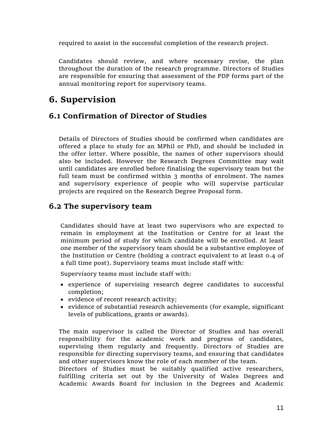required to assist in the successful completion of the research project.

Candidates should review, and where necessary revise, the plan throughout the duration of the research programme. Directors of Studies are responsible for ensuring that assessment of the PDP forms part of the annual monitoring report for supervisory teams.

## **6. Supervision**

### **6.1 Confirmation of Director of Studies**

Details of Directors of Studies should be confirmed when candidates are offered a place to study for an MPhil or PhD, and should be included in the offer letter. Where possible, the names of other supervisors should also be included. However the Research Degrees Committee may wait until candidates are enrolled before finalising the supervisory team but the full team must be confirmed within 3 months of enrolment. The names and supervisory experience of people who will supervise particular projects are required on the Research Degree Proposal form.

### **6.2 The supervisory team**

Candidates should have at least two supervisors who are expected to remain in employment at the Institution or Centre for at least the minimum period of study for which candidate will be enrolled. At least one member of the supervisory team should be a substantive employee of the Institution or Centre (holding a contract equivalent to at least 0.4 of a full time post). Supervisory teams must include staff with:

Supervisory teams must include staff with:

- experience of supervising research degree candidates to successful completion;
- evidence of recent research activity;
- evidence of substantial research achievements (for example, significant levels of publications, grants or awards).

The main supervisor is called the Director of Studies and has overall responsibility for the academic work and progress of candidates, supervising them regularly and frequently. Directors of Studies are responsible for directing supervisory teams, and ensuring that candidates and other supervisors know the role of each member of the team.

Directors of Studies must be suitably qualified active researchers, fulfilling criteria set out by the University of Wales Degrees and Academic Awards Board for inclusion in the Degrees and Academic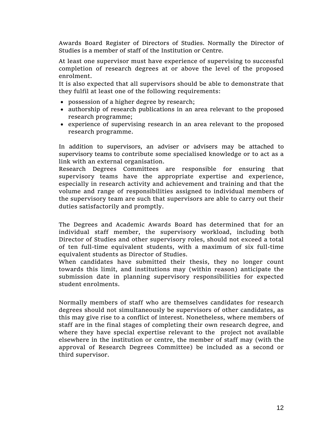Awards Board Register of Directors of Studies. Normally the Director of Studies is a member of staff of the Institution or Centre.

At least one supervisor must have experience of supervising to successful completion of research degrees at or above the level of the proposed enrolment.

It is also expected that all supervisors should be able to demonstrate that they fulfil at least one of the following requirements:

- possession of a higher degree by research;
- authorship of research publications in an area relevant to the proposed research programme;
- experience of supervising research in an area relevant to the proposed research programme.

In addition to supervisors, an adviser or advisers may be attached to supervisory teams to contribute some specialised knowledge or to act as a link with an external organisation.

Research Degrees Committees are responsible for ensuring that supervisory teams have the appropriate expertise and experience, especially in research activity and achievement and training and that the volume and range of responsibilities assigned to individual members of the supervisory team are such that supervisors are able to carry out their duties satisfactorily and promptly.

The Degrees and Academic Awards Board has determined that for an individual staff member, the supervisory workload, including both Director of Studies and other supervisory roles, should not exceed a total of ten full-time equivalent students, with a maximum of six full-time equivalent students as Director of Studies.

When candidates have submitted their thesis, they no longer count towards this limit, and institutions may (within reason) anticipate the submission date in planning supervisory responsibilities for expected student enrolments.

Normally members of staff who are themselves candidates for research degrees should not simultaneously be supervisors of other candidates, as this may give rise to a conflict of interest. Nonetheless, where members of staff are in the final stages of completing their own research degree, and where they have special expertise relevant to the project not available elsewhere in the institution or centre, the member of staff may (with the approval of Research Degrees Committee) be included as a second or third supervisor.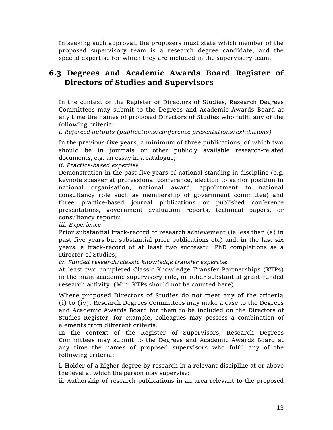In seeking such approval, the proposers must state which member of the proposed supervisory team is a research degree candidate, and the special expertise for which they are included in the supervisory team.

### **6.3 Degrees and Academic Awards Board Register of Directors of Studies and Supervisors**

In the context of the Register of Directors of Studies, Research Degrees Committees may submit to the Degrees and Academic Awards Board at any time the names of proposed Directors of Studies who fulfil any of the following criteria:

*i. Refereed outputs (publications/conference presentations/exhibitions)*

In the previous five years, a minimum of three publications, of which two should be in journals or other publicly available research-related documents, e.g. an essay in a catalogue;

*ii. Practice-based expertise*

Demonstration in the past five years of national standing in discipline (e.g. keynote speaker at professional conference, election to senior position in national organisation, national award, appointment to national consultancy role such as membership of government committee) and three practice-based journal publications or published conference presentations, government evaluation reports, technical papers, or consultancy reports;

*iii. Experience*

Prior substantial track-record of research achievement (ie less than (a) in past five years but substantial prior publications etc) and, in the last six years, a track-record of at least two successful PhD completions as a Director of Studies;

*iv. Funded research/classic knowledge transfer expertise*

At least two completed Classic Knowledge Transfer Partnerships (KTPs) in the main academic supervisory role, or other substantial grant-funded research activity. (Mini KTPs should not be counted here).

Where proposed Directors of Studies do not meet any of the criteria (i) to (iv), Research Degrees Committees may make a case to the Degrees and Academic Awards Board for them to be included on the Directors of Studies Register, for example, colleagues may possess a combination of elements from different criteria.

In the context of the Register of Supervisors, Research Degrees Committees may submit to the Degrees and Academic Awards Board at any time the names of proposed supervisors who fulfil any of the following criteria:

i. Holder of a higher degree by research in a relevant discipline at or above the level at which the person may supervise;

ii. Authorship of research publications in an area relevant to the proposed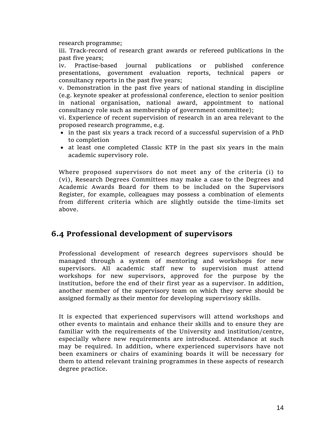research programme;

iii. Track-record of research grant awards or refereed publications in the past five years;

iv. Practise-based journal publications or published conference presentations, government evaluation reports, technical papers or consultancy reports in the past five years;

v. Demonstration in the past five years of national standing in discipline (e.g. keynote speaker at professional conference, election to senior position in national organisation, national award, appointment to national consultancy role such as membership of government committee);

vi. Experience of recent supervision of research in an area relevant to the proposed research programme, e.g.

- in the past six years a track record of a successful supervision of a PhD to completion
- at least one completed Classic KTP in the past six years in the main academic supervisory role.

Where proposed supervisors do not meet any of the criteria (i) to (vi), Research Degrees Committees may make a case to the Degrees and Academic Awards Board for them to be included on the Supervisors Register, for example, colleagues may possess a combination of elements from different criteria which are slightly outside the time-limits set above.

### **6.4 Professional development of supervisors**

Professional development of research degrees supervisors should be managed through a system of mentoring and workshops for new supervisors. All academic staff new to supervision must attend workshops for new supervisors, approved for the purpose by the institution, before the end of their first year as a supervisor. In addition, another member of the supervisory team on which they serve should be assigned formally as their mentor for developing supervisory skills.

It is expected that experienced supervisors will attend workshops and other events to maintain and enhance their skills and to ensure they are familiar with the requirements of the University and institution/centre, especially where new requirements are introduced. Attendance at such may be required. In addition, where experienced supervisors have not been examiners or chairs of examining boards it will be necessary for them to attend relevant training programmes in these aspects of research degree practice.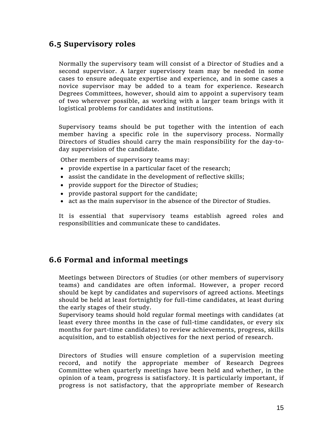### **6.5 Supervisory roles**

Normally the supervisory team will consist of a Director of Studies and a second supervisor. A larger supervisory team may be needed in some cases to ensure adequate expertise and experience, and in some cases a novice supervisor may be added to a team for experience. Research Degrees Committees, however, should aim to appoint a supervisory team of two wherever possible, as working with a larger team brings with it logistical problems for candidates and institutions.

Supervisory teams should be put together with the intention of each member having a specific role in the supervisory process. Normally Directors of Studies should carry the main responsibility for the day-today supervision of the candidate.

Other members of supervisory teams may:

- provide expertise in a particular facet of the research;
- assist the candidate in the development of reflective skills;
- provide support for the Director of Studies;
- provide pastoral support for the candidate;
- act as the main supervisor in the absence of the Director of Studies.

It is essential that supervisory teams establish agreed roles and responsibilities and communicate these to candidates.

#### **6.6 Formal and informal meetings**

Meetings between Directors of Studies (or other members of supervisory teams) and candidates are often informal. However, a proper record should be kept by candidates and supervisors of agreed actions. Meetings should be held at least fortnightly for full-time candidates, at least during the early stages of their study.

Supervisory teams should hold regular formal meetings with candidates (at least every three months in the case of full-time candidates, or every six months for part-time candidates) to review achievements, progress, skills acquisition, and to establish objectives for the next period of research.

Directors of Studies will ensure completion of a supervision meeting record, and notify the appropriate member of Research Degrees Committee when quarterly meetings have been held and whether, in the opinion of a team, progress is satisfactory. It is particularly important, if progress is not satisfactory, that the appropriate member of Research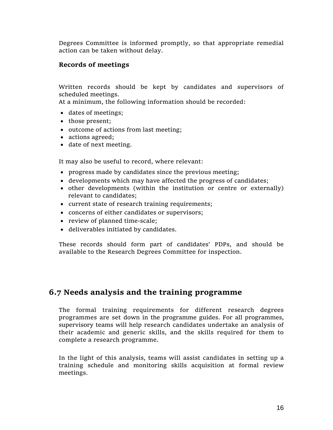Degrees Committee is informed promptly, so that appropriate remedial action can be taken without delay.

#### **Records of meetings**

Written records should be kept by candidates and supervisors of scheduled meetings.

At a minimum, the following information should be recorded:

- dates of meetings;
- those present;
- outcome of actions from last meeting;
- actions agreed;
- date of next meeting.

It may also be useful to record, where relevant:

- progress made by candidates since the previous meeting;
- developments which may have affected the progress of candidates;
- other developments (within the institution or centre or externally) relevant to candidates;
- current state of research training requirements;
- concerns of either candidates or supervisors;
- review of planned time-scale;
- deliverables initiated by candidates.

These records should form part of candidates' PDPs, and should be available to the Research Degrees Committee for inspection.

### **6.7 Needs analysis and the training programme**

The formal training requirements for different research degrees programmes are set down in the programme guides. For all programmes, supervisory teams will help research candidates undertake an analysis of their academic and generic skills, and the skills required for them to complete a research programme.

In the light of this analysis, teams will assist candidates in setting up a training schedule and monitoring skills acquisition at formal review meetings.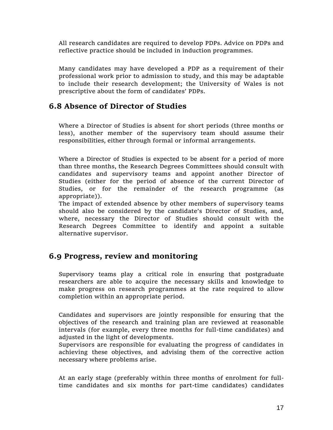All research candidates are required to develop PDPs. Advice on PDPs and reflective practice should be included in induction programmes.

Many candidates may have developed a PDP as a requirement of their professional work prior to admission to study, and this may be adaptable to include their research development; the University of Wales is not prescriptive about the form of candidates' PDPs.

### **6.8 Absence of Director of Studies**

Where a Director of Studies is absent for short periods (three months or less), another member of the supervisory team should assume their responsibilities, either through formal or informal arrangements.

Where a Director of Studies is expected to be absent for a period of more than three months, the Research Degrees Committees should consult with candidates and supervisory teams and appoint another Director of Studies (either for the period of absence of the current Director of Studies, or for the remainder of the research programme (as appropriate)).

The impact of extended absence by other members of supervisory teams should also be considered by the candidate's Director of Studies, and, where, necessary the Director of Studies should consult with the Research Degrees Committee to identify and appoint a suitable alternative supervisor.

### **6.9 Progress, review and monitoring**

Supervisory teams play a critical role in ensuring that postgraduate researchers are able to acquire the necessary skills and knowledge to make progress on research programmes at the rate required to allow completion within an appropriate period.

Candidates and supervisors are jointly responsible for ensuring that the objectives of the research and training plan are reviewed at reasonable intervals (for example, every three months for full-time candidates) and adjusted in the light of developments.

Supervisors are responsible for evaluating the progress of candidates in achieving these objectives, and advising them of the corrective action necessary where problems arise.

At an early stage (preferably within three months of enrolment for fulltime candidates and six months for part-time candidates) candidates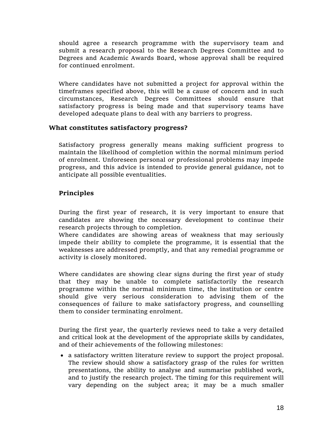should agree a research programme with the supervisory team and submit a research proposal to the Research Degrees Committee and to Degrees and Academic Awards Board, whose approval shall be required for continued enrolment.

Where candidates have not submitted a project for approval within the timeframes specified above, this will be a cause of concern and in such circumstances, Research Degrees Committees should ensure that satisfactory progress is being made and that supervisory teams have developed adequate plans to deal with any barriers to progress.

#### **What constitutes satisfactory progress?**

Satisfactory progress generally means making sufficient progress to maintain the likelihood of completion within the normal minimum period of enrolment. Unforeseen personal or professional problems may impede progress, and this advice is intended to provide general guidance, not to anticipate all possible eventualities.

#### **Principles**

During the first year of research, it is very important to ensure that candidates are showing the necessary development to continue their research projects through to completion.

Where candidates are showing areas of weakness that may seriously impede their ability to complete the programme, it is essential that the weaknesses are addressed promptly, and that any remedial programme or activity is closely monitored.

Where candidates are showing clear signs during the first year of study that they may be unable to complete satisfactorily the research programme within the normal minimum time, the institution or centre should give very serious consideration to advising them of the consequences of failure to make satisfactory progress, and counselling them to consider terminating enrolment.

During the first year, the quarterly reviews need to take a very detailed and critical look at the development of the appropriate skills by candidates, and of their achievements of the following milestones:

 a satisfactory written literature review to support the project proposal. The review should show a satisfactory grasp of the rules for written presentations, the ability to analyse and summarise published work, and to justify the research project. The timing for this requirement will vary depending on the subject area; it may be a much smaller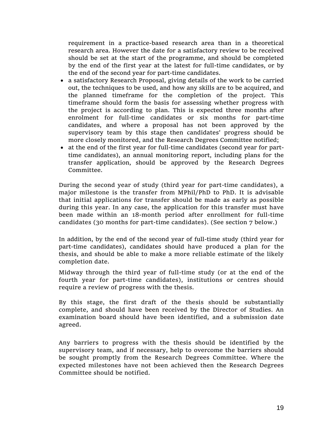requirement in a practice-based research area than in a theoretical research area. However the date for a satisfactory review to be received should be set at the start of the programme, and should be completed by the end of the first year at the latest for full-time candidates, or by the end of the second year for part-time candidates.

- a satisfactory Research Proposal, giving details of the work to be carried out, the techniques to be used, and how any skills are to be acquired, and the planned timeframe for the completion of the project. This timeframe should form the basis for assessing whether progress with the project is according to plan. This is expected three months after enrolment for full-time candidates or six months for part-time candidates, and where a proposal has not been approved by the supervisory team by this stage then candidates' progress should be more closely monitored, and the Research Degrees Committee notified;
- at the end of the first year for full-time candidates (second year for parttime candidates), an annual monitoring report, including plans for the transfer application, should be approved by the Research Degrees Committee.

During the second year of study (third year for part-time candidates), a major milestone is the transfer from MPhil/PhD to PhD. It is advisable that initial applications for transfer should be made as early as possible during this year. In any case, the application for this transfer must have been made within an 18-month period after enrollment for full-time candidates (30 months for part-time candidates). (See section 7 below.)

In addition, by the end of the second year of full-time study (third year for part-time candidates), candidates should have produced a plan for the thesis, and should be able to make a more reliable estimate of the likely completion date.

Midway through the third year of full-time study (or at the end of the fourth year for part-time candidates), institutions or centres should require a review of progress with the thesis.

By this stage, the first draft of the thesis should be substantially complete, and should have been received by the Director of Studies. An examination board should have been identified, and a submission date agreed.

Any barriers to progress with the thesis should be identified by the supervisory team, and if necessary, help to overcome the barriers should be sought promptly from the Research Degrees Committee. Where the expected milestones have not been achieved then the Research Degrees Committee should be notified.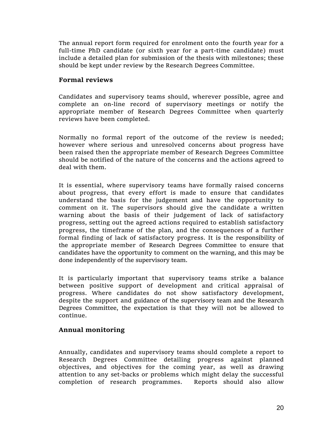The annual report form required for enrolment onto the fourth year for a full-time PhD candidate (or sixth year for a part-time candidate) must include a detailed plan for submission of the thesis with milestones; these should be kept under review by the Research Degrees Committee.

#### **Formal reviews**

Candidates and supervisory teams should, wherever possible, agree and complete an on-line record of supervisory meetings or notify the appropriate member of Research Degrees Committee when quarterly reviews have been completed.

Normally no formal report of the outcome of the review is needed; however where serious and unresolved concerns about progress have been raised then the appropriate member of Research Degrees Committee should be notified of the nature of the concerns and the actions agreed to deal with them.

It is essential, where supervisory teams have formally raised concerns about progress, that every effort is made to ensure that candidates understand the basis for the judgement and have the opportunity to comment on it. The supervisors should give the candidate a written warning about the basis of their judgement of lack of satisfactory progress, setting out the agreed actions required to establish satisfactory progress, the timeframe of the plan, and the consequences of a further formal finding of lack of satisfactory progress. It is the responsibility of the appropriate member of Research Degrees Committee to ensure that candidates have the opportunity to comment on the warning, and this may be done independently of the supervisory team.

It is particularly important that supervisory teams strike a balance between positive support of development and critical appraisal of progress. Where candidates do not show satisfactory development, despite the support and guidance of the supervisory team and the Research Degrees Committee, the expectation is that they will not be allowed to continue.

#### **Annual monitoring**

Annually, candidates and supervisory teams should complete a report to Research Degrees Committee detailing progress against planned objectives, and objectives for the coming year, as well as drawing attention to any set-backs or problems which might delay the successful completion of research programmes. Reports should also allow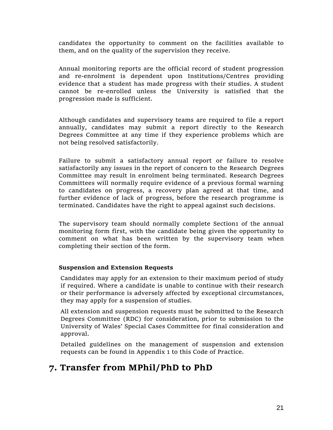candidates the opportunity to comment on the facilities available to them, and on the quality of the supervision they receive.

Annual monitoring reports are the official record of student progression and re-enrolment is dependent upon Institutions/Centres providing evidence that a student has made progress with their studies. A student cannot be re-enrolled unless the University is satisfied that the progression made is sufficient.

Although candidates and supervisory teams are required to file a report annually, candidates may submit a report directly to the Research Degrees Committee at any time if they experience problems which are not being resolved satisfactorily.

Failure to submit a satisfactory annual report or failure to resolve satisfactorily any issues in the report of concern to the Research Degrees Committee may result in enrolment being terminated. Research Degrees Committees will normally require evidence of a previous formal warning to candidates on progress, a recovery plan agreed at that time, and further evidence of lack of progress, before the research programme is terminated. Candidates have the right to appeal against such decisions.

The supervisory team should normally complete Section1 of the annual monitoring form first, with the candidate being given the opportunity to comment on what has been written by the supervisory team when completing their section of the form.

#### **Suspension and Extension Requests**

Candidates may apply for an extension to their maximum period of study if required. Where a candidate is unable to continue with their research or their performance is adversely affected by exceptional circumstances, they may apply for a suspension of studies.

All extension and suspension requests must be submitted to the Research Degrees Committee (RDC) for consideration, prior to submission to the University of Wales' Special Cases Committee for final consideration and approval.

Detailed guidelines on the management of suspension and extension requests can be found in Appendix 1 to this Code of Practice.

### **7. Transfer from MPhil/PhD to PhD**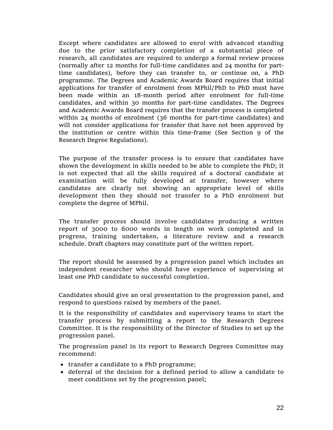Except where candidates are allowed to enrol with advanced standing due to the prior satisfactory completion of a substantial piece of research, all candidates are required to undergo a formal review process (normally after 12 months for full-time candidates and 24 months for parttime candidates), before they can transfer to, or continue on, a PhD programme. The Degrees and Academic Awards Board requires that initial applications for transfer of enrolment from MPhil/PhD to PhD must have been made within an 18-month period after enrolment for full-time candidates, and within 30 months for part-time candidates. The Degrees and Academic Awards Board requires that the transfer process is completed within 24 months of enrolment (36 months for part-time candidates) and will not consider applications for transfer that have not been approved by the institution or centre within this time-frame (See Section 9 of the Research Degree Regulations).

The purpose of the transfer process is to ensure that candidates have shown the development in skills needed to be able to complete the PhD; it is not expected that all the skills required of a doctoral candidate at examination will be fully developed at transfer, however where candidates are clearly not showing an appropriate level of skills development then they should not transfer to a PhD enrolment but complete the degree of MPhil.

The transfer process should involve candidates producing a written report of 3000 to 6000 words in length on work completed and in progress, training undertaken, a literature review and a research schedule. Draft chapters may constitute part of the written report.

The report should be assessed by a progression panel which includes an independent researcher who should have experience of supervising at least one PhD candidate to successful completion.

Candidates should give an oral presentation to the progression panel, and respond to questions raised by members of the panel.

It is the responsibility of candidates and supervisory teams to start the transfer process by submitting a report to the Research Degrees Committee. It is the responsibility of the Director of Studies to set up the progression panel.

The progression panel in its report to Research Degrees Committee may recommend:

- transfer a candidate to a PhD programme;
- deferral of the decision for a defined period to allow a candidate to meet conditions set by the progression panel;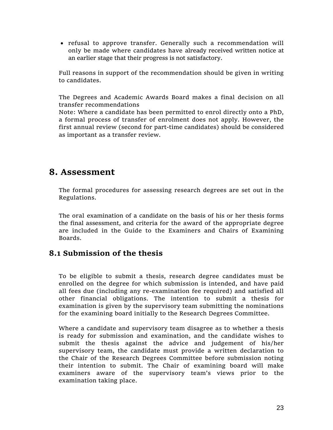refusal to approve transfer. Generally such a recommendation will only be made where candidates have already received written notice at an earlier stage that their progress is not satisfactory.

Full reasons in support of the recommendation should be given in writing to candidates.

The Degrees and Academic Awards Board makes a final decision on all transfer recommendations

Note: Where a candidate has been permitted to enrol directly onto a PhD, a formal process of transfer of enrolment does not apply. However, the first annual review (second for part-time candidates) should be considered as important as a transfer review.

### **8. Assessment**

The formal procedures for assessing research degrees are set out in the Regulations.

The oral examination of a candidate on the basis of his or her thesis forms the final assessment, and criteria for the award of the appropriate degree are included in the Guide to the Examiners and Chairs of Examining Boards.

### **8.1 Submission of the thesis**

To be eligible to submit a thesis, research degree candidates must be enrolled on the degree for which submission is intended, and have paid all fees due (including any re-examination fee required) and satisfied all other financial obligations. The intention to submit a thesis for examination is given by the supervisory team submitting the nominations for the examining board initially to the Research Degrees Committee.

Where a candidate and supervisory team disagree as to whether a thesis is ready for submission and examination, and the candidate wishes to submit the thesis against the advice and judgement of his/her supervisory team, the candidate must provide a written declaration to the Chair of the Research Degrees Committee before submission noting their intention to submit. The Chair of examining board will make examiners aware of the supervisory team's views prior to the examination taking place.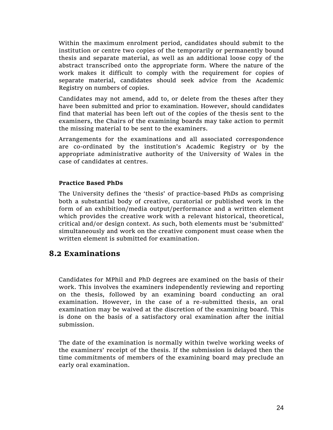Within the maximum enrolment period, candidates should submit to the institution or centre two copies of the temporarily or permanently bound thesis and separate material, as well as an additional loose copy of the abstract transcribed onto the appropriate form. Where the nature of the work makes it difficult to comply with the requirement for copies of separate material, candidates should seek advice from the Academic Registry on numbers of copies.

Candidates may not amend, add to, or delete from the theses after they have been submitted and prior to examination. However, should candidates find that material has been left out of the copies of the thesis sent to the examiners, the Chairs of the examining boards may take action to permit the missing material to be sent to the examiners.

Arrangements for the examinations and all associated correspondence are co-ordinated by the institution's Academic Registry or by the appropriate administrative authority of the University of Wales in the case of candidates at centres.

#### **Practice Based PhDs**

The University defines the 'thesis' of practice-based PhDs as comprising both a substantial body of creative, curatorial or published work in the form of an exhibition/media output/performance and a written element which provides the creative work with a relevant historical, theoretical, critical and/or design context. As such, both elements must be 'submitted' simultaneously and work on the creative component must cease when the written element is submitted for examination.

#### **8.2 Examinations**

Candidates for MPhil and PhD degrees are examined on the basis of their work. This involves the examiners independently reviewing and reporting on the thesis, followed by an examining board conducting an oral examination. However, in the case of a re-submitted thesis, an oral examination may be waived at the discretion of the examining board. This is done on the basis of a satisfactory oral examination after the initial submission.

The date of the examination is normally within twelve working weeks of the examiners' receipt of the thesis. If the submission is delayed then the time commitments of members of the examining board may preclude an early oral examination.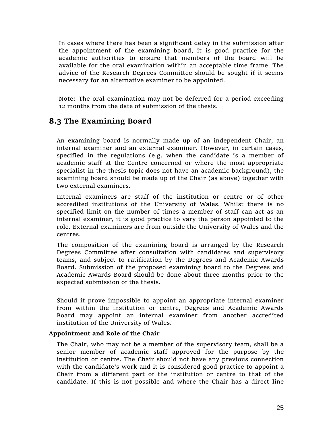In cases where there has been a significant delay in the submission after the appointment of the examining board, it is good practice for the academic authorities to ensure that members of the board will be available for the oral examination within an acceptable time frame. The advice of the Research Degrees Committee should be sought if it seems necessary for an alternative examiner to be appointed.

Note: The oral examination may not be deferred for a period exceeding 12 months from the date of submission of the thesis.

### **8.3 The Examining Board**

An examining board is normally made up of an independent Chair, an internal examiner and an external examiner. However, in certain cases, specified in the regulations (e.g. when the candidate is a member of academic staff at the Centre concerned or where the most appropriate specialist in the thesis topic does not have an academic background), the examining board should be made up of the Chair (as above) together with two external examiners.

Internal examiners are staff of the institution or centre or of other accredited institutions of the University of Wales. Whilst there is no specified limit on the number of times a member of staff can act as an internal examiner, it is good practice to vary the person appointed to the role. External examiners are from outside the University of Wales and the centres.

The composition of the examining board is arranged by the Research Degrees Committee after consultation with candidates and supervisory teams, and subject to ratification by the Degrees and Academic Awards Board. Submission of the proposed examining board to the Degrees and Academic Awards Board should be done about three months prior to the expected submission of the thesis.

Should it prove impossible to appoint an appropriate internal examiner from within the institution or centre, Degrees and Academic Awards Board may appoint an internal examiner from another accredited institution of the University of Wales.

#### **Appointment and Role of the Chair**

The Chair, who may not be a member of the supervisory team, shall be a senior member of academic staff approved for the purpose by the institution or centre. The Chair should not have any previous connection with the candidate's work and it is considered good practice to appoint a Chair from a different part of the institution or centre to that of the candidate. If this is not possible and where the Chair has a direct line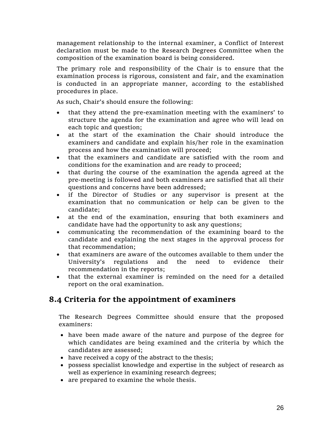management relationship to the internal examiner, a Conflict of Interest declaration must be made to the Research Degrees Committee when the composition of the examination board is being considered.

The primary role and responsibility of the Chair is to ensure that the examination process is rigorous, consistent and fair, and the examination is conducted in an appropriate manner, according to the established procedures in place.

As such, Chair's should ensure the following:

- that they attend the pre-examination meeting with the examiners' to structure the agenda for the examination and agree who will lead on each topic and question;
- at the start of the examination the Chair should introduce the examiners and candidate and explain his/her role in the examination process and how the examination will proceed;
- that the examiners and candidate are satisfied with the room and conditions for the examination and are ready to proceed;
- that during the course of the examination the agenda agreed at the pre-meeting is followed and both examiners are satisfied that all their questions and concerns have been addressed;
- if the Director of Studies or any supervisor is present at the examination that no communication or help can be given to the candidate;
- at the end of the examination, ensuring that both examiners and candidate have had the opportunity to ask any questions;
- communicating the recommendation of the examining board to the candidate and explaining the next stages in the approval process for that recommendation;
- that examiners are aware of the outcomes available to them under the University's regulations and the need to evidence their recommendation in the reports;
- that the external examiner is reminded on the need for a detailed report on the oral examination.

### **8.4 Criteria for the appointment of examiners**

The Research Degrees Committee should ensure that the proposed examiners:

- have been made aware of the nature and purpose of the degree for which candidates are being examined and the criteria by which the candidates are assessed;
- have received a copy of the abstract to the thesis;
- possess specialist knowledge and expertise in the subject of research as well as experience in examining research degrees;
- are prepared to examine the whole thesis.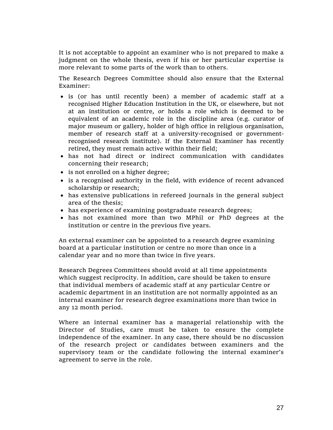It is not acceptable to appoint an examiner who is not prepared to make a judgment on the whole thesis, even if his or her particular expertise is more relevant to some parts of the work than to others.

The Research Degrees Committee should also ensure that the External Examiner:

- is (or has until recently been) a member of academic staff at a recognised Higher Education Institution in the UK, or elsewhere, but not at an institution or centre, *or* holds a role which is deemed to be equivalent of an academic role in the discipline area (e.g. curator of major museum or gallery, holder of high office in religious organisation, member of research staff at a university-recognised or governmentrecognised research institute). If the External Examiner has recently retired, they must remain active within their field;
- has not had direct or indirect communication with candidates concerning their research;
- is not enrolled on a higher degree;
- is a recognised authority in the field, with evidence of recent advanced scholarship or research;
- has extensive publications in refereed journals in the general subject area of the thesis;
- has experience of examining postgraduate research degrees;
- has not examined more than two MPhil or PhD degrees at the institution or centre in the previous five years.

An external examiner can be appointed to a research degree examining board at a particular institution or centre no more than once in a calendar year and no more than twice in five years.

Research Degrees Committees should avoid at all time appointments which suggest reciprocity. In addition, care should be taken to ensure that individual members of academic staff at any particular Centre or academic department in an institution are not normally appointed as an internal examiner for research degree examinations more than twice in any 12 month period.

Where an internal examiner has a managerial relationship with the Director of Studies, care must be taken to ensure the complete independence of the examiner. In any case, there should be no discussion of the research project or candidates between examiners and the supervisory team or the candidate following the internal examiner's agreement to serve in the role.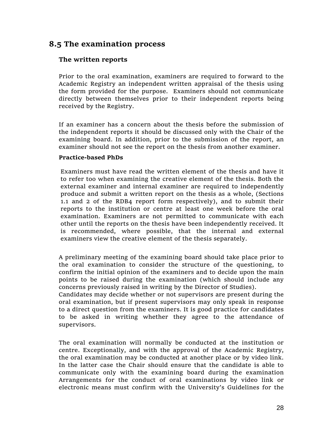### **8.5 The examination process**

#### **The written reports**

Prior to the oral examination, examiners are required to forward to the Academic Registry an independent written appraisal of the thesis using the form provided for the purpose. Examiners should not communicate directly between themselves prior to their independent reports being received by the Registry.

If an examiner has a concern about the thesis before the submission of the independent reports it should be discussed only with the Chair of the examining board. In addition, prior to the submission of the report, an examiner should not see the report on the thesis from another examiner.

#### **Practice-based PhDs**

Examiners must have read the written element of the thesis and have it to refer too when examining the creative element of the thesis. Both the external examiner and internal examiner are required to independently produce and submit a written report on the thesis as a whole, (Sections 1.1 and 2 of the RDB4 report form respectively), and to submit their reports to the institution or centre at least one week before the oral examination. Examiners are not permitted to communicate with each other until the reports on the thesis have been independently received. It is recommended, where possible, that the internal and external examiners view the creative element of the thesis separately.

A preliminary meeting of the examining board should take place prior to the oral examination to consider the structure of the questioning, to confirm the initial opinion of the examiners and to decide upon the main points to be raised during the examination (which should include any concerns previously raised in writing by the Director of Studies).

Candidates may decide whether or not supervisors are present during the oral examination, but if present supervisors may only speak in response to a direct question from the examiners. It is good practice for candidates to be asked in writing whether they agree to the attendance of supervisors.

The oral examination will normally be conducted at the institution or centre. Exceptionally, and with the approval of the Academic Registry, the oral examination may be conducted at another place or by video link. In the latter case the Chair should ensure that the candidate is able to communicate only with the examining board during the examination Arrangements for the conduct of oral examinations by video link or electronic means must confirm with the University's Guidelines for the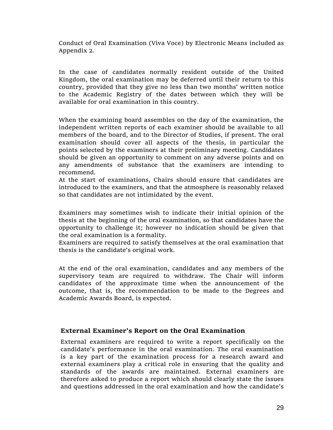Conduct of Oral Examination (Viva Voce) by Electronic Means included as Appendix 2.

In the case of candidates normally resident outside of the United Kingdom, the oral examination may be deferred until their return to this country, provided that they give no less than two months' written notice to the Academic Registry of the dates between which they will be available for oral examination in this country.

When the examining board assembles on the day of the examination, the independent written reports of each examiner should be available to all members of the board, and to the Director of Studies, if present. The oral examination should cover all aspects of the thesis, in particular the points selected by the examiners at their preliminary meeting. Candidates should be given an opportunity to comment on any adverse points and on any amendments of substance that the examiners are intending to recommend.

At the start of examinations, Chairs should ensure that candidates are introduced to the examiners, and that the atmosphere is reasonably relaxed so that candidates are not intimidated by the event.

Examiners may sometimes wish to indicate their initial opinion of the thesis at the beginning of the oral examination, so that candidates have the opportunity to challenge it; however no indication should be given that the oral examination is a formality.

Examiners are required to satisfy themselves at the oral examination that thesis is the candidate's original work.

At the end of the oral examination, candidates and any members of the supervisory team are required to withdraw. The Chair will inform candidates of the approximate time when the announcement of the outcome, that is, the recommendation to be made to the Degrees and Academic Awards Board, is expected.

#### **External Examiner's Report on the Oral Examination**

External examiners are required to write a report specifically on the candidate's performance in the oral examination. The oral examination is a key part of the examination process for a research award and external examiners play a critical role in ensuring that the quality and standards of the awards are maintained. External examiners are therefore asked to produce a report which should clearly state the issues and questions addressed in the oral examination and how the candidate's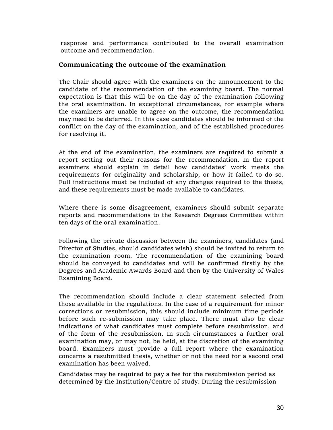response and performance contributed to the overall examination outcome and recommendation.

#### **Communicating the outcome of the examination**

The Chair should agree with the examiners on the announcement to the candidate of the recommendation of the examining board. The normal expectation is that this will be on the day of the examination following the oral examination. In exceptional circumstances, for example where the examiners are unable to agree on the outcome, the recommendation may need to be deferred. In this case candidates should be informed of the conflict on the day of the examination, and of the established procedures for resolving it.

At the end of the examination, the examiners are required to submit a report setting out their reasons for the recommendation. In the report examiners should explain in detail how candidates' work meets the requirements for originality and scholarship, or how it failed to do so. Full instructions must be included of any changes required to the thesis, and these requirements must be made available to candidates.

Where there is some disagreement, examiners should submit separate reports and recommendations to the Research Degrees Committee within ten days of the oral examination.

Following the private discussion between the examiners, candidates (and Director of Studies, should candidates wish) should be invited to return to the examination room. The recommendation of the examining board should be conveyed to candidates and will be confirmed firstly by the Degrees and Academic Awards Board and then by the University of Wales Examining Board.

The recommendation should include a clear statement selected from those available in the regulations. In the case of a requirement for minor corrections or resubmission, this should include minimum time periods before such re-submission may take place. There must also be clear indications of what candidates must complete before resubmission, and of the form of the resubmission. In such circumstances a further oral examination may, or may not, be held, at the discretion of the examining board. Examiners must provide a full report where the examination concerns a resubmitted thesis, whether or not the need for a second oral examination has been waived.

Candidates may be required to pay a fee for the resubmission period as determined by the Institution/Centre of study. During the resubmission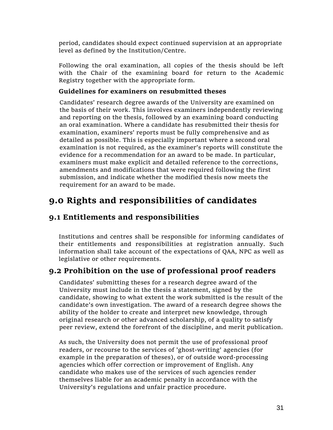period, candidates should expect continued supervision at an appropriate level as defined by the Institution/Centre.

Following the oral examination, all copies of the thesis should be left with the Chair of the examining board for return to the Academic Registry together with the appropriate form.

#### **Guidelines for examiners on resubmitted theses**

Candidates' research degree awards of the University are examined on the basis of their work. This involves examiners independently reviewing and reporting on the thesis, followed by an examining board conducting an oral examination. Where a candidate has resubmitted their thesis for examination, examiners' reports must be fully comprehensive and as detailed as possible. This is especially important where a second oral examination is not required, as the examiner's reports will constitute the evidence for a recommendation for an award to be made. In particular, examiners must make explicit and detailed reference to the corrections, amendments and modifications that were required following the first submission, and indicate whether the modified thesis now meets the requirement for an award to be made.

## **9.0 Rights and responsibilities of candidates**

### **9.1 Entitlements and responsibilities**

Institutions and centres shall be responsible for informing candidates of their entitlements and responsibilities at registration annually. Such information shall take account of the expectations of QAA, NPC as well as legislative or other requirements.

### **9.2 Prohibition on the use of professional proof readers**

Candidates' submitting theses for a research degree award of the University must include in the thesis a statement, signed by the candidate, showing to what extent the work submitted is the result of the candidate's own investigation. The award of a research degree shows the ability of the holder to create and interpret new knowledge, through original research or other advanced scholarship, of a quality to satisfy peer review, extend the forefront of the discipline, and merit publication.

As such, the University does not permit the use of professional proof readers, or recourse to the services of 'ghost-writing' agencies (for example in the preparation of theses), or of outside word-processing agencies which offer correction or improvement of English. Any candidate who makes use of the services of such agencies render themselves liable for an academic penalty in accordance with the University's regulations and unfair practice procedure.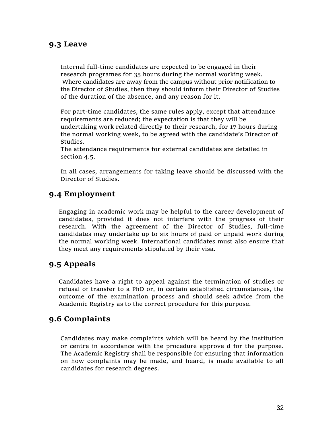### **9.3 Leave**

Internal full-time candidates are expected to be engaged in their research programes for 35 hours during the normal working week. Where candidates are away from the campus without prior notification to the Director of Studies, then they should inform their Director of Studies of the duration of the absence, and any reason for it.

For part-time candidates, the same rules apply, except that attendance requirements are reduced; the expectation is that they will be undertaking work related directly to their research, for 17 hours during the normal working week, to be agreed with the candidate's Director of Studies.

The attendance requirements for external candidates are detailed in section 4.5.

In all cases, arrangements for taking leave should be discussed with the Director of Studies.

### **9.4 Employment**

Engaging in academic work may be helpful to the career development of candidates, provided it does not interfere with the progress of their research. With the agreement of the Director of Studies, full-time candidates may undertake up to six hours of paid or unpaid work during the normal working week. International candidates must also ensure that they meet any requirements stipulated by their visa.

### **9.5 Appeals**

Candidates have a right to appeal against the termination of studies or refusal of transfer to a PhD or, in certain established circumstances, the outcome of the examination process and should seek advice from the Academic Registry as to the correct procedure for this purpose.

### **9.6 Complaints**

Candidates may make complaints which will be heard by the institution or centre in accordance with the procedure approve d for the purpose. The Academic Registry shall be responsible for ensuring that information on how complaints may be made, and heard, is made available to all candidates for research degrees.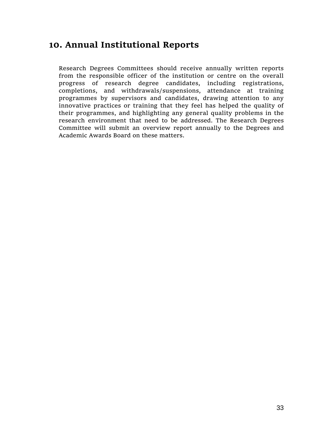## **10. Annual Institutional Reports**

Research Degrees Committees should receive annually written reports from the responsible officer of the institution or centre on the overall progress of research degree candidates, including registrations, completions, and withdrawals/suspensions, attendance at training programmes by supervisors and candidates, drawing attention to any innovative practices or training that they feel has helped the quality of their programmes, and highlighting any general quality problems in the research environment that need to be addressed. The Research Degrees Committee will submit an overview report annually to the Degrees and Academic Awards Board on these matters.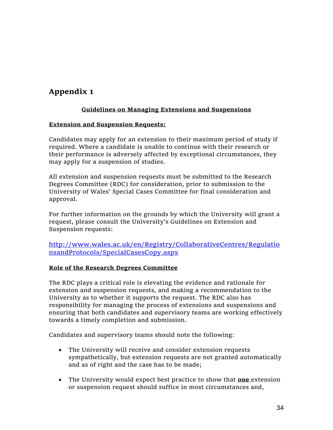## **Appendix 1**

#### **Guidelines on Managing Extensions and Suspensions**

#### **Extension and Suspension Requests:**

Candidates may apply for an extension to their maximum period of study if required. Where a candidate is unable to continue with their research or their performance is adversely affected by exceptional circumstances, they may apply for a suspension of studies.

All extension and suspension requests must be submitted to the Research Degrees Committee (RDC) for consideration, prior to submission to the University of Wales' Special Cases Committee for final consideration and approval.

For further information on the grounds by which the University will grant a request, please consult the University's Guidelines on Extension and Suspension requests:

[http://www.wales.ac.uk/en/Registry/CollaborativeCentres/Regulatio](http://www.wales.ac.uk/en/Registry/CollaborativeCentres/RegulationsandProtocols/SpecialCasesCopy.aspx) [nsandProtocols/SpecialCasesCopy.aspx](http://www.wales.ac.uk/en/Registry/CollaborativeCentres/RegulationsandProtocols/SpecialCasesCopy.aspx)

#### **Role of the Research Degrees Committee**

The RDC plays a critical role is elevating the evidence and rationale for extension and suspension requests, and making a recommendation to the University as to whether it supports the request. The RDC also has responsibility for managing the process of extensions and suspensions and ensuring that both candidates and supervisory teams are working effectively towards a timely completion and submission.

Candidates and supervisory teams should note the following:

- The University will receive and consider extension requests sympathetically, but extension requests are not granted automatically and as of right and the case has to be made;
- The University would expect best practice to show that **one** extension or suspension request should suffice in most circumstances and,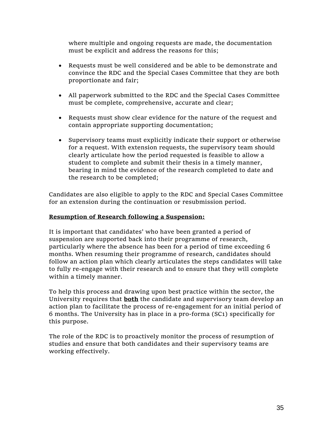where multiple and ongoing requests are made, the documentation must be explicit and address the reasons for this;

- Requests must be well considered and be able to be demonstrate and convince the RDC and the Special Cases Committee that they are both proportionate and fair;
- All paperwork submitted to the RDC and the Special Cases Committee must be complete, comprehensive, accurate and clear;
- Requests must show clear evidence for the nature of the request and contain appropriate supporting documentation;
- Supervisory teams must explicitly indicate their support or otherwise for a request. With extension requests, the supervisory team should clearly articulate how the period requested is feasible to allow a student to complete and submit their thesis in a timely manner, bearing in mind the evidence of the research completed to date and the research to be completed;

Candidates are also eligible to apply to the RDC and Special Cases Committee for an extension during the continuation or resubmission period.

#### **Resumption of Research following a Suspension:**

It is important that candidates' who have been granted a period of suspension are supported back into their programme of research, particularly where the absence has been for a period of time exceeding 6 months. When resuming their programme of research, candidates should follow an action plan which clearly articulates the steps candidates will take to fully re-engage with their research and to ensure that they will complete within a timely manner.

To help this process and drawing upon best practice within the sector, the University requires that **both** the candidate and supervisory team develop an action plan to facilitate the process of re-engagement for an initial period of 6 months. The University has in place in a pro-forma (SC1) specifically for this purpose.

The role of the RDC is to proactively monitor the process of resumption of studies and ensure that both candidates and their supervisory teams are working effectively.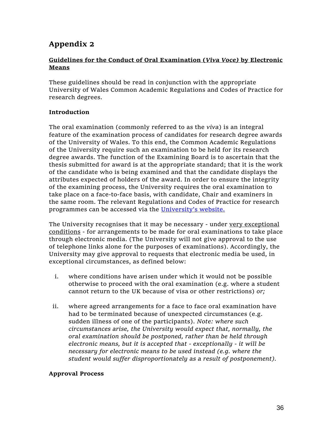## **Appendix 2**

#### **Guidelines for the Conduct of Oral Examination (***Viva Voce)* **by Electronic Means**

These guidelines should be read in conjunction with the appropriate University of Wales Common Academic Regulations and Codes of Practice for research degrees.

#### **Introduction**

The oral examination (commonly referred to as the *viva*) is an integral feature of the examination process of candidates for research degree awards of the University of Wales. To this end, the Common Academic Regulations of the University require such an examination to be held for its research degree awards. The function of the Examining Board is to ascertain that the thesis submitted for award is at the appropriate standard; that it is the work of the candidate who is being examined and that the candidate displays the attributes expected of holders of the award. In order to ensure the integrity of the examining process, the University requires the oral examination to take place on a face-to-face basis, with candidate, Chair and examiners in the same room. The relevant Regulations and Codes of Practice for research programmes can be accessed via the [University's website.](http://www.wales.ac.uk/en/Registry/Current-Students/AcademicRegulations.aspx)

The University recognises that it may be necessary - under very exceptional conditions - for arrangements to be made for oral examinations to take place through electronic media. (The University will not give approval to the use of telephone links alone for the purposes of examinations). Accordingly, the University may give approval to requests that electronic media be used, in exceptional circumstances, as defined below:

- i. where conditions have arisen under which it would not be possible otherwise to proceed with the oral examination (e.g. where a student cannot return to the UK because of visa or other restrictions) *or;*
- ii. where agreed arrangements for a face to face oral examination have had to be terminated because of unexpected circumstances (e.g. sudden illness of one of the participants). *Note: where such circumstances arise, the University would expect that, normally, the oral examination should be postponed, rather than be held through electronic means, but it is accepted that - exceptionally - it will be necessary for electronic means to be used instead (e.g. where the student would suffer disproportionately as a result of postponement).*

#### **Approval Process**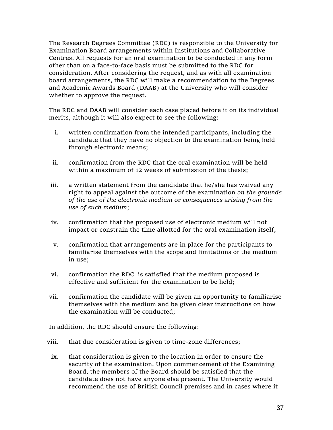The Research Degrees Committee (RDC) is responsible to the University for Examination Board arrangements within Institutions and Collaborative Centres. All requests for an oral examination to be conducted in any form other than on a face-to-face basis must be submitted to the RDC for consideration. After considering the request, and as with all examination board arrangements, the RDC will make a recommendation to the Degrees and Academic Awards Board (DAAB) at the University who will consider whether to approve the request.

The RDC and DAAB will consider each case placed before it on its individual merits, although it will also expect to see the following:

- i. written confirmation from the intended participants, including the candidate that they have no objection to the examination being held through electronic means;
- ii. confirmation from the RDC that the oral examination will be held within a maximum of 12 weeks of submission of the thesis;
- iii. a written statement from the candidate that he/she has waived any right to appeal against the outcome of the examination *on the grounds of the use of the electronic medium* or *consequences arising from the use of such medium*;
- iv. confirmation that the proposed use of electronic medium will not impact or constrain the time allotted for the oral examination itself;
- v. confirmation that arrangements are in place for the participants to familiarise themselves with the scope and limitations of the medium in use;
- vi. confirmation the RDC is satisfied that the medium proposed is effective and sufficient for the examination to be held;
- vii. confirmation the candidate will be given an opportunity to familiarise themselves with the medium and be given clear instructions on how the examination will be conducted;

In addition, the RDC should ensure the following:

- viii. that due consideration is given to time-zone differences;
	- ix. that consideration is given to the location in order to ensure the security of the examination. Upon commencement of the Examining Board, the members of the Board should be satisfied that the candidate does not have anyone else present. The University would recommend the use of British Council premises and in cases where it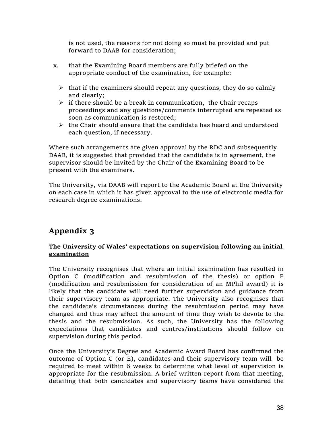is not used, the reasons for not doing so must be provided and put forward to DAAB for consideration;

- x. that the Examining Board members are fully briefed on the appropriate conduct of the examination, for example:
	- $\triangleright$  that if the examiners should repeat any questions, they do so calmly and clearly;
	- $\triangleright$  if there should be a break in communication, the Chair recaps proceedings and any questions/comments interrupted are repeated as soon as communication is restored;
	- $\triangleright$  the Chair should ensure that the candidate has heard and understood each question, if necessary.

Where such arrangements are given approval by the RDC and subsequently DAAB, it is suggested that provided that the candidate is in agreement, the supervisor should be invited by the Chair of the Examining Board to be present with the examiners.

The University, via DAAB will report to the Academic Board at the University on each case in which it has given approval to the use of electronic media for research degree examinations.

## **Appendix 3**

#### **The University of Wales' expectations on supervision following an initial examination**

The University recognises that where an initial examination has resulted in Option C (modification and resubmission of the thesis) or option E (modification and resubmission for consideration of an MPhil award) it is likely that the candidate will need further supervision and guidance from their supervisory team as appropriate. The University also recognises that the candidate's circumstances during the resubmission period may have changed and thus may affect the amount of time they wish to devote to the thesis and the resubmission. As such, the University has the following expectations that candidates and centres/institutions should follow on supervision during this period.

Once the University's Degree and Academic Award Board has confirmed the outcome of Option C (or E), candidates and their supervisory team will be required to meet within 6 weeks to determine what level of supervision is appropriate for the resubmission. A brief written report from that meeting, detailing that both candidates and supervisory teams have considered the